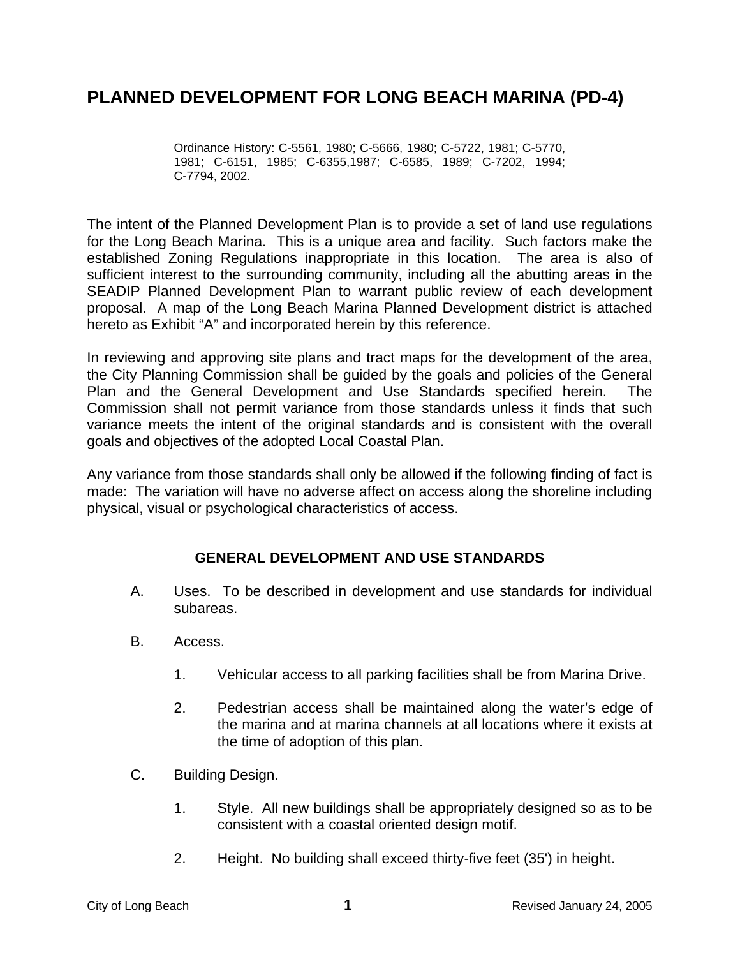# **PLANNED DEVELOPMENT FOR LONG BEACH MARINA (PD-4)**

Ordinance History: C-5561, 1980; C-5666, 1980; C-5722, 1981; C-5770, 1981; C-6151, 1985; C-6355,1987; C-6585, 1989; C-7202, 1994; C-7794, 2002.

The intent of the Planned Development Plan is to provide a set of land use regulations for the Long Beach Marina. This is a unique area and facility. Such factors make the established Zoning Regulations inappropriate in this location. The area is also of sufficient interest to the surrounding community, including all the abutting areas in the SEADIP Planned Development Plan to warrant public review of each development proposal. A map of the Long Beach Marina Planned Development district is attached hereto as Exhibit "A" and incorporated herein by this reference.

In reviewing and approving site plans and tract maps for the development of the area, the City Planning Commission shall be guided by the goals and policies of the General Plan and the General Development and Use Standards specified herein. The Commission shall not permit variance from those standards unless it finds that such variance meets the intent of the original standards and is consistent with the overall goals and objectives of the adopted Local Coastal Plan.

Any variance from those standards shall only be allowed if the following finding of fact is made: The variation will have no adverse affect on access along the shoreline including physical, visual or psychological characteristics of access.

## **GENERAL DEVELOPMENT AND USE STANDARDS**

- A. Uses. To be described in development and use standards for individual subareas.
- B. Access.
	- 1. Vehicular access to all parking facilities shall be from Marina Drive.
	- 2. Pedestrian access shall be maintained along the water's edge of the marina and at marina channels at all locations where it exists at the time of adoption of this plan.
- C. Building Design.
	- 1. Style. All new buildings shall be appropriately designed so as to be consistent with a coastal oriented design motif.
	- 2. Height. No building shall exceed thirty-five feet (35') in height.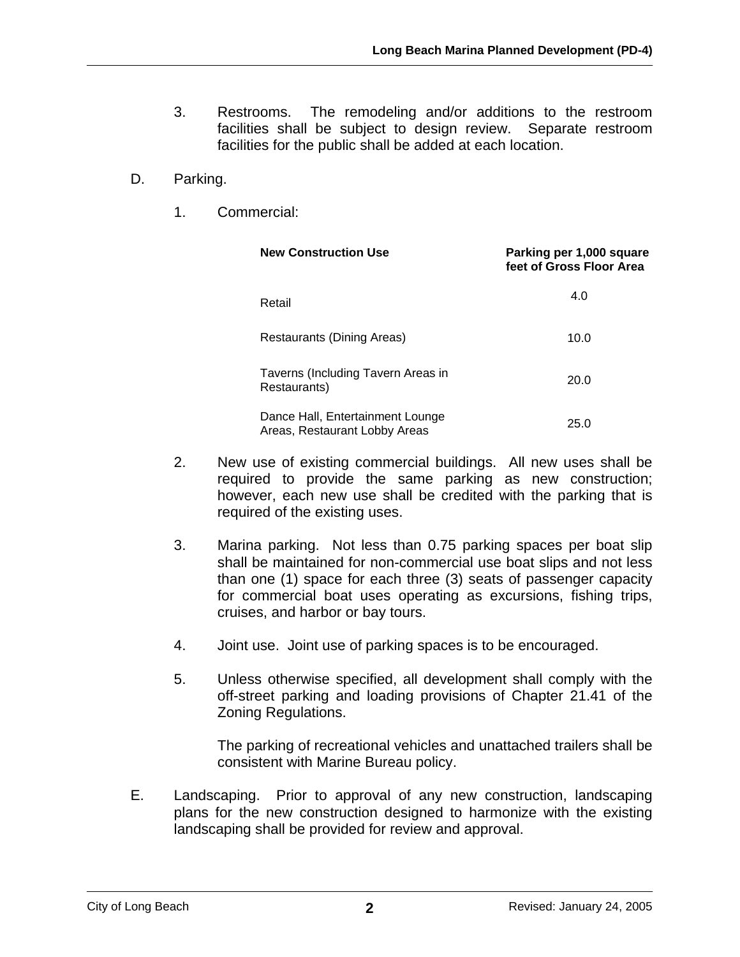- 3. Restrooms. The remodeling and/or additions to the restroom facilities shall be subject to design review. Separate restroom facilities for the public shall be added at each location.
- D. Parking.
	- 1. Commercial:

| <b>New Construction Use</b>                                       | Parking per 1,000 square<br>feet of Gross Floor Area |
|-------------------------------------------------------------------|------------------------------------------------------|
| Retail                                                            | 4.0                                                  |
| Restaurants (Dining Areas)                                        | 10.0                                                 |
| Taverns (Including Tavern Areas in<br>Restaurants)                | 20.0                                                 |
| Dance Hall, Entertainment Lounge<br>Areas, Restaurant Lobby Areas | 25.0                                                 |

- 2. New use of existing commercial buildings. All new uses shall be required to provide the same parking as new construction; however, each new use shall be credited with the parking that is required of the existing uses.
- 3. Marina parking. Not less than 0.75 parking spaces per boat slip shall be maintained for non-commercial use boat slips and not less than one (1) space for each three (3) seats of passenger capacity for commercial boat uses operating as excursions, fishing trips, cruises, and harbor or bay tours.
- 4. Joint use. Joint use of parking spaces is to be encouraged.
- 5. Unless otherwise specified, all development shall comply with the off-street parking and loading provisions of Chapter 21.41 of the Zoning Regulations.

The parking of recreational vehicles and unattached trailers shall be consistent with Marine Bureau policy.

E. Landscaping. Prior to approval of any new construction, landscaping plans for the new construction designed to harmonize with the existing landscaping shall be provided for review and approval.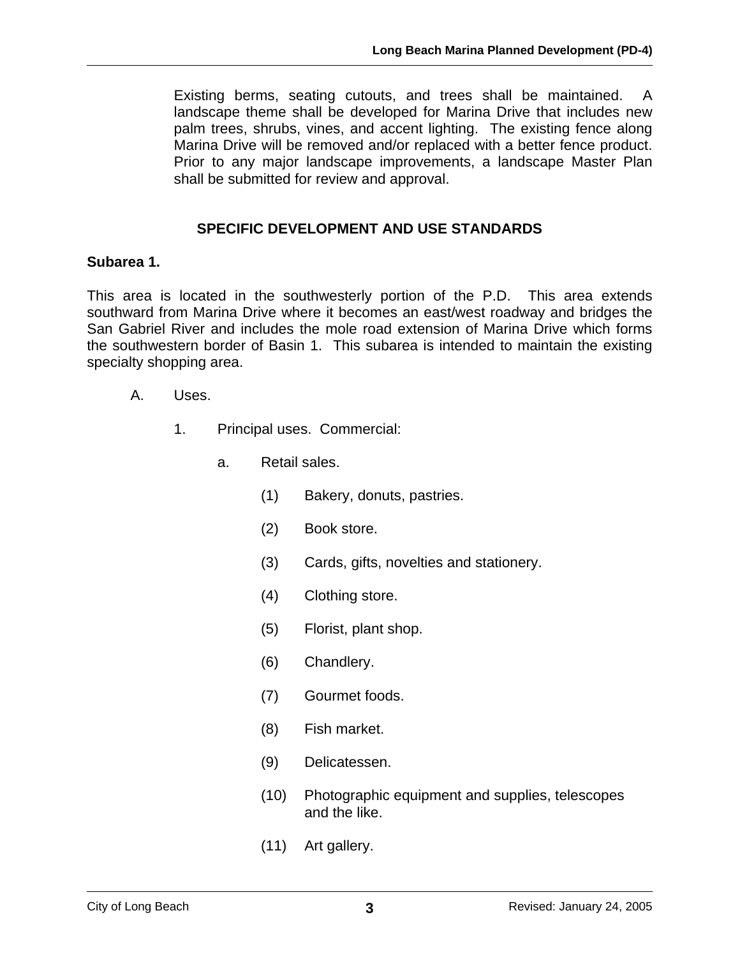Existing berms, seating cutouts, and trees shall be maintained. A landscape theme shall be developed for Marina Drive that includes new palm trees, shrubs, vines, and accent lighting. The existing fence along Marina Drive will be removed and/or replaced with a better fence product. Prior to any major landscape improvements, a landscape Master Plan shall be submitted for review and approval.

# **SPECIFIC DEVELOPMENT AND USE STANDARDS**

### **Subarea 1.**

This area is located in the southwesterly portion of the P.D. This area extends southward from Marina Drive where it becomes an east/west roadway and bridges the San Gabriel River and includes the mole road extension of Marina Drive which forms the southwestern border of Basin 1. This subarea is intended to maintain the existing specialty shopping area.

- A. Uses.
	- 1. Principal uses. Commercial:
		- a. Retail sales.
			- (1) Bakery, donuts, pastries.
			- (2) Book store.
			- (3) Cards, gifts, novelties and stationery.
			- (4) Clothing store.
			- (5) Florist, plant shop.
			- (6) Chandlery.
			- (7) Gourmet foods.
			- (8) Fish market.
			- (9) Delicatessen.
			- (10) Photographic equipment and supplies, telescopes and the like.
			- (11) Art gallery.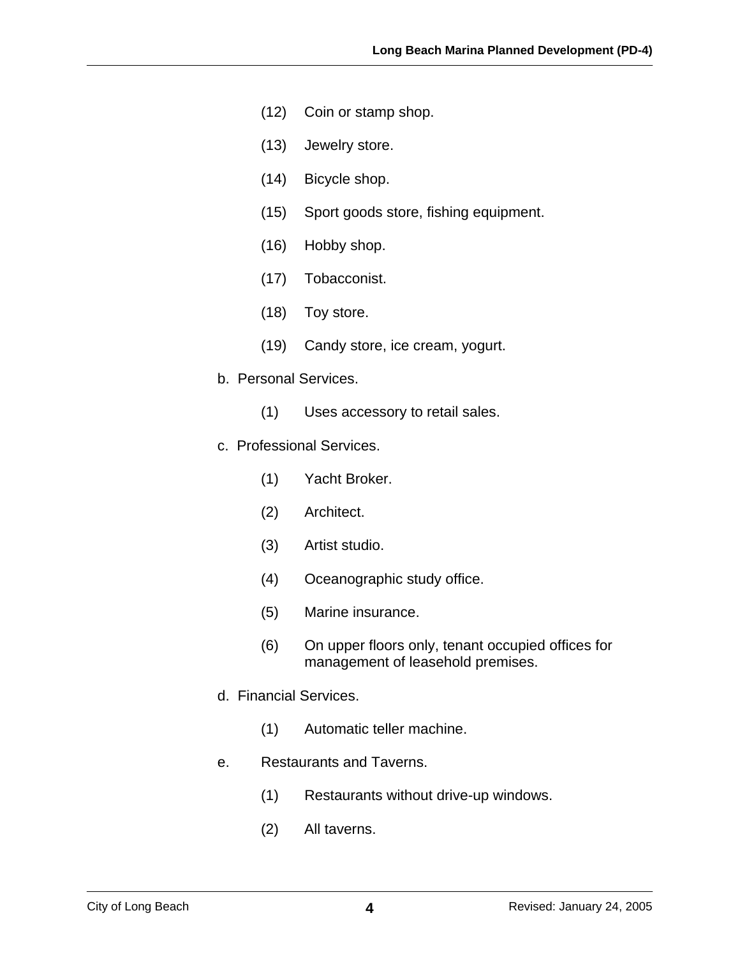- (12) Coin or stamp shop.
- (13) Jewelry store.
- (14) Bicycle shop.
- (15) Sport goods store, fishing equipment.
- (16) Hobby shop.
- (17) Tobacconist.
- (18) Toy store.
- (19) Candy store, ice cream, yogurt.
- b. Personal Services.
	- (1) Uses accessory to retail sales.
- c. Professional Services.
	- (1) Yacht Broker.
	- (2) Architect.
	- (3) Artist studio.
	- (4) Oceanographic study office.
	- (5) Marine insurance.
	- (6) On upper floors only, tenant occupied offices for management of leasehold premises.
- d. Financial Services.
	- (1) Automatic teller machine.
- e. Restaurants and Taverns.
	- (1) Restaurants without drive-up windows.
	- (2) All taverns.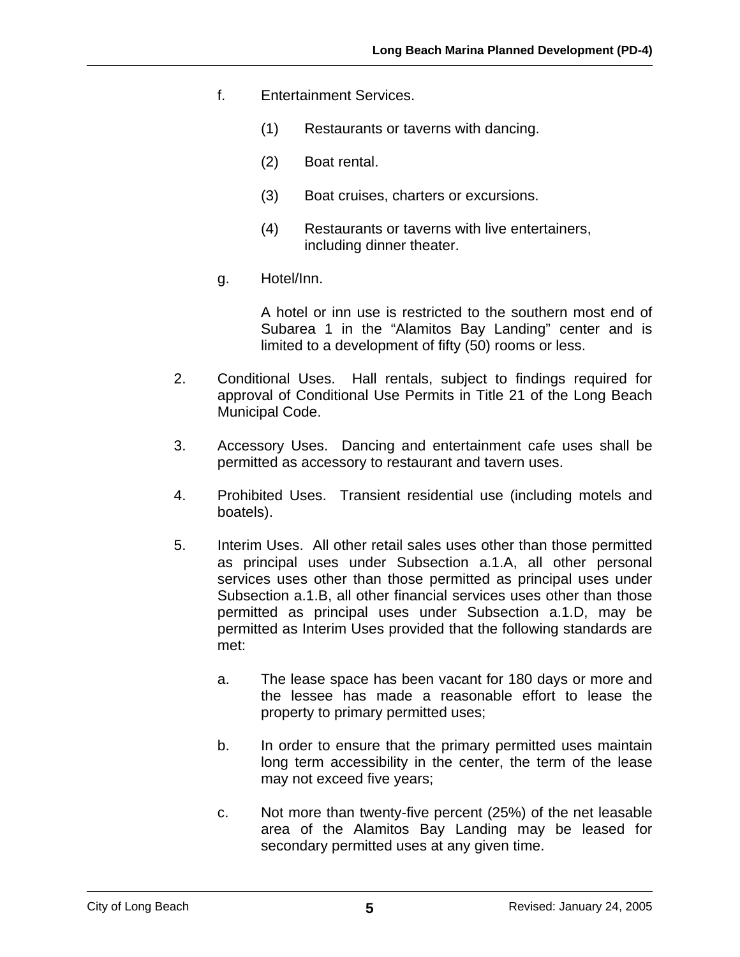- f. Entertainment Services.
	- (1) Restaurants or taverns with dancing.
	- (2) Boat rental.
	- (3) Boat cruises, charters or excursions.
	- (4) Restaurants or taverns with live entertainers, including dinner theater.
- g. Hotel/Inn.

A hotel or inn use is restricted to the southern most end of Subarea 1 in the "Alamitos Bay Landing" center and is limited to a development of fifty (50) rooms or less.

- 2. Conditional Uses. Hall rentals, subject to findings required for approval of Conditional Use Permits in Title 21 of the Long Beach Municipal Code.
- 3. Accessory Uses. Dancing and entertainment cafe uses shall be permitted as accessory to restaurant and tavern uses.
- 4. Prohibited Uses. Transient residential use (including motels and boatels).
- 5. Interim Uses. All other retail sales uses other than those permitted as principal uses under Subsection a.1.A, all other personal services uses other than those permitted as principal uses under Subsection a.1.B, all other financial services uses other than those permitted as principal uses under Subsection a.1.D, may be permitted as Interim Uses provided that the following standards are met:
	- a. The lease space has been vacant for 180 days or more and the lessee has made a reasonable effort to lease the property to primary permitted uses;
	- b. In order to ensure that the primary permitted uses maintain long term accessibility in the center, the term of the lease may not exceed five years;
	- c. Not more than twenty-five percent (25%) of the net leasable area of the Alamitos Bay Landing may be leased for secondary permitted uses at any given time.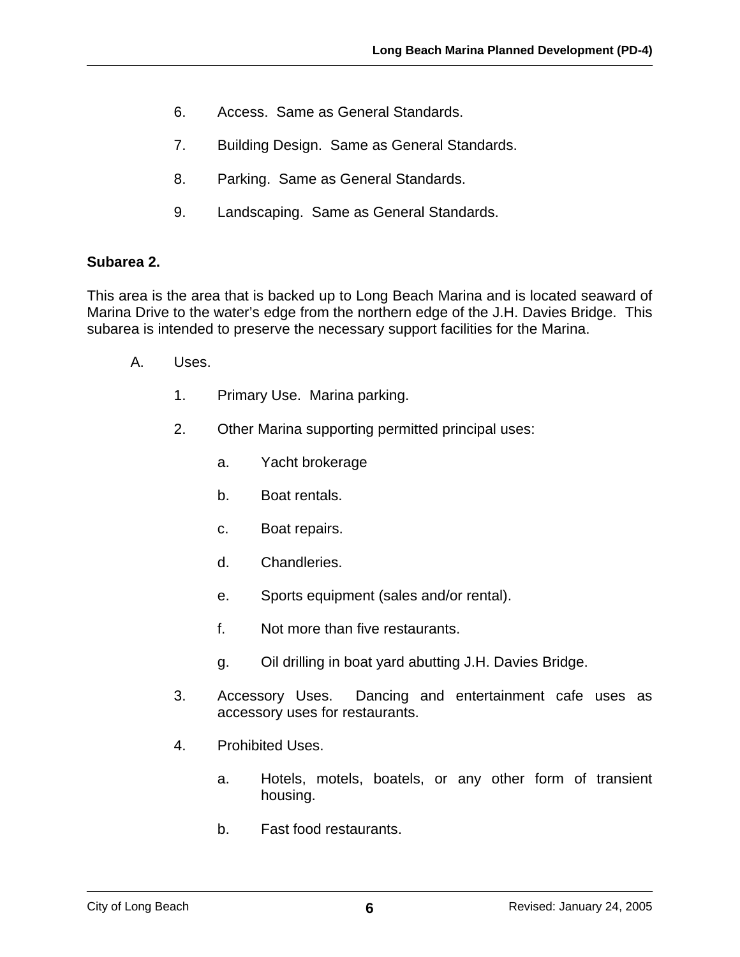- 6. Access. Same as General Standards.
- 7. Building Design. Same as General Standards.
- 8. Parking. Same as General Standards.
- 9. Landscaping. Same as General Standards.

#### **Subarea 2.**

This area is the area that is backed up to Long Beach Marina and is located seaward of Marina Drive to the water's edge from the northern edge of the J.H. Davies Bridge. This subarea is intended to preserve the necessary support facilities for the Marina.

- A. Uses.
	- 1. Primary Use. Marina parking.
	- 2. Other Marina supporting permitted principal uses:
		- a. Yacht brokerage
		- b. Boat rentals.
		- c. Boat repairs.
		- d. Chandleries.
		- e. Sports equipment (sales and/or rental).
		- f. Not more than five restaurants.
		- g. Oil drilling in boat yard abutting J.H. Davies Bridge.
	- 3. Accessory Uses. Dancing and entertainment cafe uses as accessory uses for restaurants.
	- 4. Prohibited Uses.
		- a. Hotels, motels, boatels, or any other form of transient housing.
		- b. Fast food restaurants.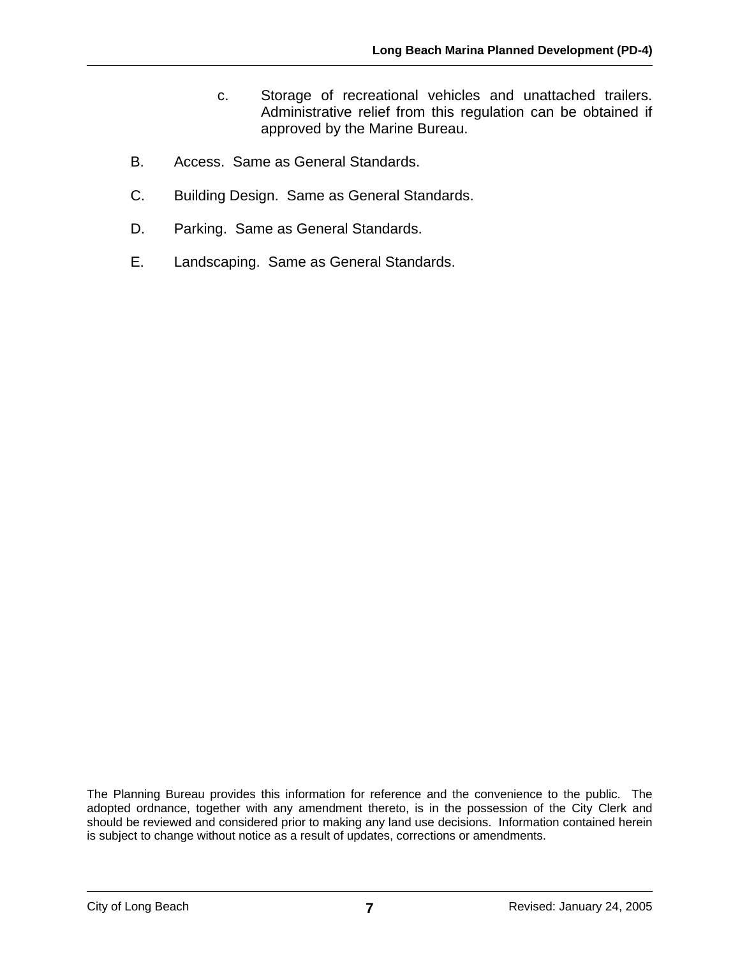- c. Storage of recreational vehicles and unattached trailers. Administrative relief from this regulation can be obtained if approved by the Marine Bureau.
- B. Access. Same as General Standards.
- C. Building Design. Same as General Standards.
- D. Parking. Same as General Standards.
- E. Landscaping. Same as General Standards.

The Planning Bureau provides this information for reference and the convenience to the public. The adopted ordnance, together with any amendment thereto, is in the possession of the City Clerk and should be reviewed and considered prior to making any land use decisions. Information contained herein is subject to change without notice as a result of updates, corrections or amendments.